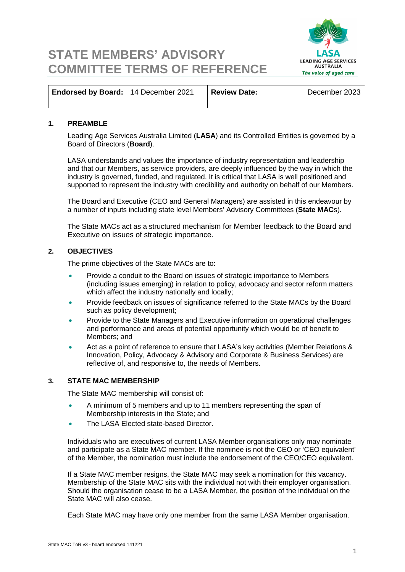# **LEADING AGE SERVICES** AUSTRALIA The voice of aged care

## **STATE MEMBERS' ADVISORY COMMITTEE TERMS OF REFERENCE**

| Endorsed by Board: 14 December 2021 | <b>Review Date:</b> | December 2023 |
|-------------------------------------|---------------------|---------------|
|                                     |                     |               |

#### **1. PREAMBLE**

Leading Age Services Australia Limited (**LASA**) and its Controlled Entities is governed by a Board of Directors (**Board**).

LASA understands and values the importance of industry representation and leadership and that our Members, as service providers, are deeply influenced by the way in which the industry is governed, funded, and regulated. It is critical that LASA is well positioned and supported to represent the industry with credibility and authority on behalf of our Members.

The Board and Executive (CEO and General Managers) are assisted in this endeavour by a number of inputs including state level Members' Advisory Committees (**State MAC**s).

The State MACs act as a structured mechanism for Member feedback to the Board and Executive on issues of strategic importance.

#### **2. OBJECTIVES**

The prime objectives of the State MACs are to:

- Provide a conduit to the Board on issues of strategic importance to Members (including issues emerging) in relation to policy, advocacy and sector reform matters which affect the industry nationally and locally;
- Provide feedback on issues of significance referred to the State MACs by the Board such as policy development;
- Provide to the State Managers and Executive information on operational challenges and performance and areas of potential opportunity which would be of benefit to Members; and
- Act as a point of reference to ensure that LASA's key activities (Member Relations & Innovation, Policy, Advocacy & Advisory and Corporate & Business Services) are reflective of, and responsive to, the needs of Members.

#### **3. STATE MAC MEMBERSHIP**

The State MAC membership will consist of:

- A minimum of 5 members and up to 11 members representing the span of Membership interests in the State; and
- The LASA Elected state-based Director.

Individuals who are executives of current LASA Member organisations only may nominate and participate as a State MAC member. If the nominee is not the CEO or 'CEO equivalent' of the Member, the nomination must include the endorsement of the CEO/CEO equivalent.

If a State MAC member resigns, the State MAC may seek a nomination for this vacancy. Membership of the State MAC sits with the individual not with their employer organisation. Should the organisation cease to be a LASA Member, the position of the individual on the State MAC will also cease.

Each State MAC may have only one member from the same LASA Member organisation.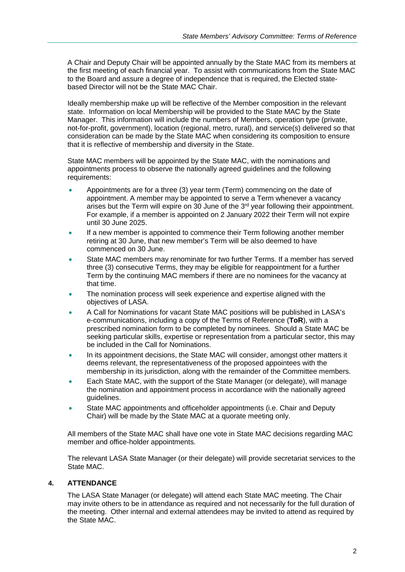A Chair and Deputy Chair will be appointed annually by the State MAC from its members at the first meeting of each financial year. To assist with communications from the State MAC to the Board and assure a degree of independence that is required, the Elected statebased Director will not be the State MAC Chair.

Ideally membership make up will be reflective of the Member composition in the relevant state. Information on local Membership will be provided to the State MAC by the State Manager. This information will include the numbers of Members, operation type (private, not-for-profit, government), location (regional, metro, rural), and service(s) delivered so that consideration can be made by the State MAC when considering its composition to ensure that it is reflective of membership and diversity in the State.

State MAC members will be appointed by the State MAC, with the nominations and appointments process to observe the nationally agreed guidelines and the following requirements:

- Appointments are for a three (3) year term (Term) commencing on the date of appointment. A member may be appointed to serve a Term whenever a vacancy arises but the Term will expire on 30 June of the 3<sup>rd</sup> year following their appointment. For example, if a member is appointed on 2 January 2022 their Term will not expire until 30 June 2025.
- If a new member is appointed to commence their Term following another member retiring at 30 June, that new member's Term will be also deemed to have commenced on 30 June.
- State MAC members may renominate for two further Terms. If a member has served three (3) consecutive Terms, they may be eligible for reappointment for a further Term by the continuing MAC members if there are no nominees for the vacancy at that time.
- The nomination process will seek experience and expertise aligned with the objectives of LASA.
- A Call for Nominations for vacant State MAC positions will be published in LASA's e-communications, including a copy of the Terms of Reference (**ToR**), with a prescribed nomination form to be completed by nominees. Should a State MAC be seeking particular skills, expertise or representation from a particular sector, this may be included in the Call for Nominations.
- In its appointment decisions, the State MAC will consider, amongst other matters it deems relevant, the representativeness of the proposed appointees with the membership in its jurisdiction, along with the remainder of the Committee members.
- Each State MAC, with the support of the State Manager (or delegate), will manage the nomination and appointment process in accordance with the nationally agreed guidelines.
- State MAC appointments and officeholder appointments (i.e. Chair and Deputy Chair) will be made by the State MAC at a quorate meeting only.

All members of the State MAC shall have one vote in State MAC decisions regarding MAC member and office-holder appointments.

The relevant LASA State Manager (or their delegate) will provide secretariat services to the State MAC.

#### **4. ATTENDANCE**

The LASA State Manager (or delegate) will attend each State MAC meeting. The Chair may invite others to be in attendance as required and not necessarily for the full duration of the meeting. Other internal and external attendees may be invited to attend as required by the State MAC.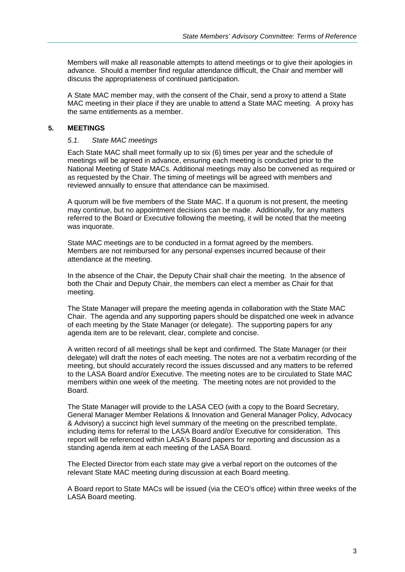Members will make all reasonable attempts to attend meetings or to give their apologies in advance. Should a member find regular attendance difficult, the Chair and member will discuss the appropriateness of continued participation.

A State MAC member may, with the consent of the Chair, send a proxy to attend a State MAC meeting in their place if they are unable to attend a State MAC meeting. A proxy has the same entitlements as a member.

#### **5. MEETINGS**

#### *5.1. State MAC meetings*

Each State MAC shall meet formally up to six (6) times per year and the schedule of meetings will be agreed in advance, ensuring each meeting is conducted prior to the National Meeting of State MACs. Additional meetings may also be convened as required or as requested by the Chair. The timing of meetings will be agreed with members and reviewed annually to ensure that attendance can be maximised.

A quorum will be five members of the State MAC. If a quorum is not present, the meeting may continue, but no appointment decisions can be made. Additionally, for any matters referred to the Board or Executive following the meeting, it will be noted that the meeting was inquorate.

State MAC meetings are to be conducted in a format agreed by the members. Members are not reimbursed for any personal expenses incurred because of their attendance at the meeting.

In the absence of the Chair, the Deputy Chair shall chair the meeting. In the absence of both the Chair and Deputy Chair, the members can elect a member as Chair for that meeting.

The State Manager will prepare the meeting agenda in collaboration with the State MAC Chair. The agenda and any supporting papers should be dispatched one week in advance of each meeting by the State Manager (or delegate). The supporting papers for any agenda item are to be relevant, clear, complete and concise.

A written record of all meetings shall be kept and confirmed. The State Manager (or their delegate) will draft the notes of each meeting. The notes are not a verbatim recording of the meeting, but should accurately record the issues discussed and any matters to be referred to the LASA Board and/or Executive. The meeting notes are to be circulated to State MAC members within one week of the meeting. The meeting notes are not provided to the Board.

The State Manager will provide to the LASA CEO (with a copy to the Board Secretary, General Manager Member Relations & Innovation and General Manager Policy, Advocacy & Advisory) a succinct high level summary of the meeting on the prescribed template, including items for referral to the LASA Board and/or Executive for consideration. This report will be referenced within LASA's Board papers for reporting and discussion as a standing agenda item at each meeting of the LASA Board.

The Elected Director from each state may give a verbal report on the outcomes of the relevant State MAC meeting during discussion at each Board meeting.

A Board report to State MACs will be issued (via the CEO's office) within three weeks of the LASA Board meeting.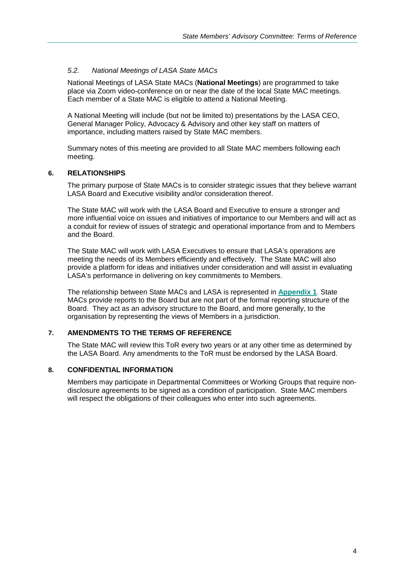#### *5.2. National Meetings of LASA State MACs*

National Meetings of LASA State MACs (**National Meetings**) are programmed to take place via Zoom video-conference on or near the date of the local State MAC meetings. Each member of a State MAC is eligible to attend a National Meeting.

A National Meeting will include (but not be limited to) presentations by the LASA CEO, General Manager Policy, Advocacy & Advisory and other key staff on matters of importance, including matters raised by State MAC members.

Summary notes of this meeting are provided to all State MAC members following each meeting.

#### **6. RELATIONSHIPS**

The primary purpose of State MACs is to consider strategic issues that they believe warrant LASA Board and Executive visibility and/or consideration thereof.

The State MAC will work with the LASA Board and Executive to ensure a stronger and more influential voice on issues and initiatives of importance to our Members and will act as a conduit for review of issues of strategic and operational importance from and to Members and the Board.

The State MAC will work with LASA Executives to ensure that LASA's operations are meeting the needs of its Members efficiently and effectively. The State MAC will also provide a platform for ideas and initiatives under consideration and will assist in evaluating LASA's performance in delivering on key commitments to Members.

The relationship between State MACs and LASA is represented in **Appendix 1**. State MACs provide reports to the Board but are not part of the formal reporting structure of the Board. They act as an advisory structure to the Board, and more generally, to the organisation by representing the views of Members in a jurisdiction.

#### **7. AMENDMENTS TO THE TERMS OF REFERENCE**

The State MAC will review this ToR every two years or at any other time as determined by the LASA Board. Any amendments to the ToR must be endorsed by the LASA Board.

#### **8. CONFIDENTIAL INFORMATION**

Members may participate in Departmental Committees or Working Groups that require nondisclosure agreements to be signed as a condition of participation. State MAC members will respect the obligations of their colleagues who enter into such agreements.